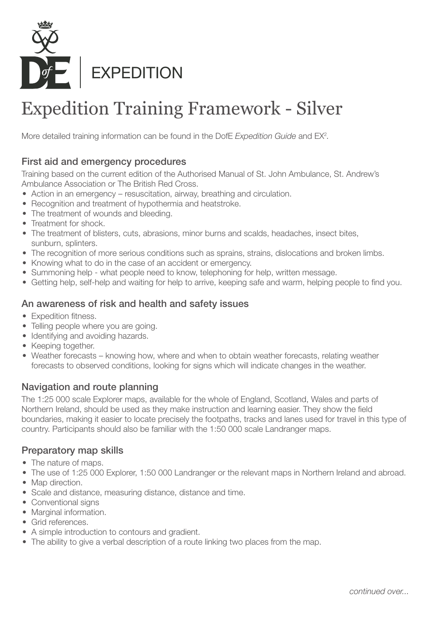

# Expedition Training Framework - Silver

More detailed training information can be found in the DofE Expedition Guide and EX<sup>2</sup>.

# First aid and emergency procedures

Training based on the current edition of the Authorised Manual of St. John Ambulance, St. Andrew's Ambulance Association or The British Red Cross.

- Action in an emergency resuscitation, airway, breathing and circulation.
- Recognition and treatment of hypothermia and heatstroke.
- The treatment of wounds and bleeding.
- Treatment for shock.
- The treatment of blisters, cuts, abrasions, minor burns and scalds, headaches, insect bites, sunburn, splinters.
- The recognition of more serious conditions such as sprains, strains, dislocations and broken limbs.
- Knowing what to do in the case of an accident or emergency.
- Summoning help what people need to know, telephoning for help, written message.
- Getting help, self-help and waiting for help to arrive, keeping safe and warm, helping people to find you.

# An awareness of risk and health and safety issues

- Expedition fitness.
- Telling people where you are going.
- Identifying and avoiding hazards.
- Keeping together.
- Weather forecasts knowing how, where and when to obtain weather forecasts, relating weather forecasts to observed conditions, looking for signs which will indicate changes in the weather.

# Navigation and route planning

The 1:25 000 scale Explorer maps, available for the whole of England, Scotland, Wales and parts of Northern Ireland, should be used as they make instruction and learning easier. They show the field boundaries, making it easier to locate precisely the footpaths, tracks and lanes used for travel in this type of country. Participants should also be familiar with the 1:50 000 scale Landranger maps.

#### Preparatory map skills

- The nature of maps.
- The use of 1:25 000 Explorer, 1:50 000 Landranger or the relevant maps in Northern Ireland and abroad.
- Map direction.
- Scale and distance, measuring distance, distance and time.
- Conventional signs
- Marginal information.
- Grid references.
- A simple introduction to contours and gradient.
- The ability to give a verbal description of a route linking two places from the map.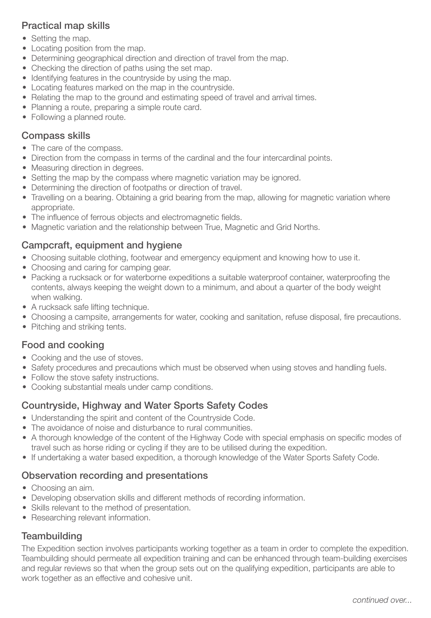# Practical map skills

- Setting the map.
- Locating position from the map.
- Determining geographical direction and direction of travel from the map.
- Checking the direction of paths using the set map.
- Identifying features in the countryside by using the map.
- Locating features marked on the map in the countryside.
- Relating the map to the ground and estimating speed of travel and arrival times.
- Planning a route, preparing a simple route card.
- Following a planned route.

#### Compass skills

- The care of the compass.
- Direction from the compass in terms of the cardinal and the four intercardinal points.
- Measuring direction in degrees.
- Setting the map by the compass where magnetic variation may be ignored.
- Determining the direction of footpaths or direction of travel.
- Travelling on a bearing. Obtaining a grid bearing from the map, allowing for magnetic variation where appropriate.
- The influence of ferrous objects and electromagnetic fields.
- Magnetic variation and the relationship between True, Magnetic and Grid Norths.

#### Campcraft, equipment and hygiene

- Choosing suitable clothing, footwear and emergency equipment and knowing how to use it.
- Choosing and caring for camping gear.
- Packing a rucksack or for waterborne expeditions a suitable waterproof container, waterproofing the contents, always keeping the weight down to a minimum, and about a quarter of the body weight when walking.
- A rucksack safe lifting technique.
- Choosing a campsite, arrangements for water, cooking and sanitation, refuse disposal, fire precautions.
- Pitching and striking tents.

#### Food and cooking

- Cooking and the use of stoves.
- Safety procedures and precautions which must be observed when using stoves and handling fuels.
- Follow the stove safety instructions.
- Cooking substantial meals under camp conditions.

#### Countryside, Highway and Water Sports Safety Codes

- Understanding the spirit and content of the Countryside Code.
- The avoidance of noise and disturbance to rural communities.
- A thorough knowledge of the content of the Highway Code with special emphasis on specific modes of travel such as horse riding or cycling if they are to be utilised during the expedition.
- If undertaking a water based expedition, a thorough knowledge of the Water Sports Safety Code.

#### Observation recording and presentations

- Choosing an aim.
- Developing observation skills and different methods of recording information.
- Skills relevant to the method of presentation.
- Researching relevant information.

# **Teambuilding**

The Expedition section involves participants working together as a team in order to complete the expedition. Teambuilding should permeate all expedition training and can be enhanced through team-building exercises and regular reviews so that when the group sets out on the qualifying expedition, participants are able to work together as an effective and cohesive unit.